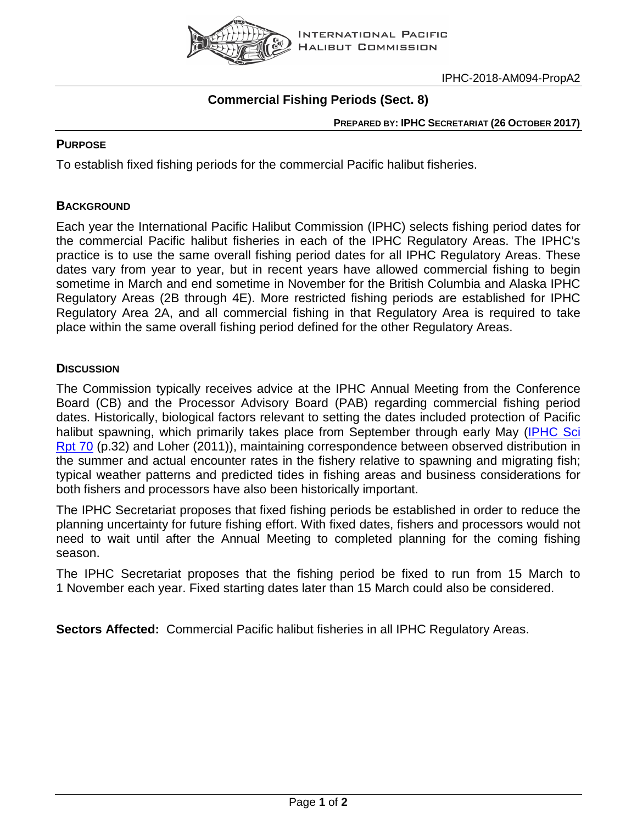

# **Commercial Fishing Periods (Sect. 8)**

**PREPARED BY: IPHC SECRETARIAT (26 OCTOBER 2017)**

### **PURPOSE**

To establish fixed fishing periods for the commercial Pacific halibut fisheries.

### **BACKGROUND**

Each year the International Pacific Halibut Commission (IPHC) selects fishing period dates for the commercial Pacific halibut fisheries in each of the IPHC Regulatory Areas. The IPHC's practice is to use the same overall fishing period dates for all IPHC Regulatory Areas. These dates vary from year to year, but in recent years have allowed commercial fishing to begin sometime in March and end sometime in November for the British Columbia and Alaska IPHC Regulatory Areas (2B through 4E). More restricted fishing periods are established for IPHC Regulatory Area 2A, and all commercial fishing in that Regulatory Area is required to take place within the same overall fishing period defined for the other Regulatory Areas.

#### **DISCUSSION**

The Commission typically receives advice at the IPHC Annual Meeting from the Conference Board (CB) and the Processor Advisory Board (PAB) regarding commercial fishing period dates. Historically, biological factors relevant to setting the dates included protection of Pacific halibut spawning, which primarily takes place from September through early May (IPHC Sci [Rpt 70](http://www.iphc.int/publications/scirep/SciReport0070.pdf) (p.32) and Loher (2011)), maintaining correspondence between observed distribution in the summer and actual encounter rates in the fishery relative to spawning and migrating fish; typical weather patterns and predicted tides in fishing areas and business considerations for both fishers and processors have also been historically important.

The IPHC Secretariat proposes that fixed fishing periods be established in order to reduce the planning uncertainty for future fishing effort. With fixed dates, fishers and processors would not need to wait until after the Annual Meeting to completed planning for the coming fishing season.

The IPHC Secretariat proposes that the fishing period be fixed to run from 15 March to 1 November each year. Fixed starting dates later than 15 March could also be considered.

**Sectors Affected:** Commercial Pacific halibut fisheries in all IPHC Regulatory Areas.